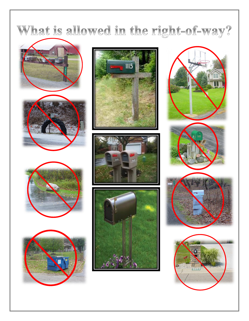## What is allowed in the right-of-way?